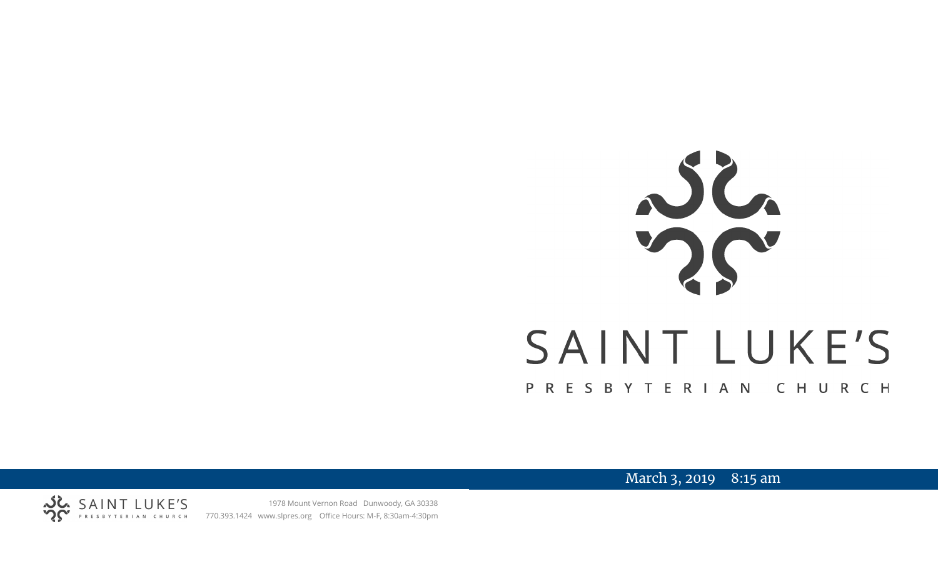# SAINT LUKE'S PRESBYTERIAN CHURCH

March 3, 2019 8:15 am



1978 Mount Vernon Road Dunwoody, GA 30338 770.393.1424 www.slpres.org Office Hours: M-F, 8:30am-4:30pm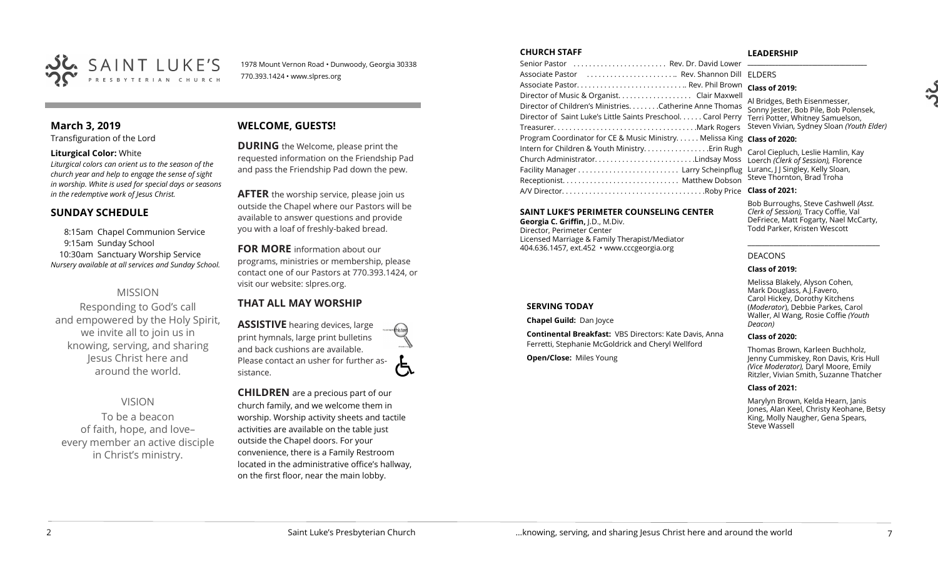

1978 Mount Vernon Road • Dunwoody, Georgia 30338 770.393.1424 • www.slpres.org

# **March 3, 2019**

Transfiguration of the Lord

#### **Liturgical Color:** White

*Liturgical colors can orient us to the season of the church year and help to engage the sense of sight in worship. White is used for special days or seasons in the redemptive work of Jesus Christ.*

## **SUNDAY SCHEDULE**

8:15am Chapel Communion Service 9:15am Sunday School 10:30am Sanctuary Worship Service *Nursery available at all services and Sunday School.* 

# MISSION

Responding to God's call and empowered by the Holy Spirit, we invite all to join us in knowing, serving, and sharing Jesus Christ here and around the world.

VISION To be a beacon of faith, hope, and love– every member an active disciple in Christ's ministry.

# **WELCOME, GUESTS!**

**DURING** the Welcome, please print the requested information on the Friendship Pad and pass the Friendship Pad down the pew.

**AFTER** the worship service, please join us outside the Chapel where our Pastors will be available to answer questions and provide you with a loaf of freshly-baked bread.

**FOR MORE** information about our programs, ministries or membership, please contact one of our Pastors at 770.393.1424, or visit our website: slpres.org.

# **THAT ALL MAY WORSHIP**

**ASSISTIVE** hearing devices, large print hymnals, large print bulletins and back cushions are available. Please contact an usher for further assistance.

**CHILDREN** are a precious part of our church family, and we welcome them in worship. Worship activity sheets and tactile activities are available on the table just outside the Chapel doors. For your convenience, there is a Family Restroom located in the administrative office's hallway, on the first floor, near the main lobby.

#### **CHURCH STAFF**

Senior Pastor . . . . . . . . . . . . . . . . . . . . . . . . Rev. Dr. David Lower Associate Pastor . . . . . . . . . . . . . . . . . . . . . . .. Rev. Shannon Dill Associate Pastor. . . . . . . . . . . . . . . . . . . . . . . . . . . .. Rev. Phil Brown Director of Music & Organist. . . . . . . . . . . . . . . . . . . Clair Maxwell Director of Children's Ministries. . . . . . . .Catherine Anne Thomas Director of Saint Luke's Little Saints Preschool. . . . . . Carol Perry Treasurer. . . . . . . . . . . . . . . . . . . . . . . . . . . . . . . . . . . . .Mark Rogers Program Coordinator for CE & Music Ministry. . . . . . Melissa King **Class of 2020:** Intern for Children & Youth Ministry. . . . . . . . . . . . . . . . .Erin Rugh Church Administrator. . . . . . . . . . . . . . . . . . . . . . . . . .Lindsay Moss Loerch *(Clerk of Session),* Florence Facility Manager . . . . . . . . . . . . . . . . . . . . . . . . . . Larry Scheinpflug Luranc, J J Singley, Kelly Sloan, Receptionist. . . . . . . . . . . . . . . . . . . . . . . . . . . . . . Matthew Dobson A/V Director. . . . . . . . . . . . . . . . . . . . . . . . . . . . . . . . . . . . .Roby Price **Class of 2021: \_\_\_\_\_\_\_\_\_\_\_\_\_\_\_\_\_\_\_\_\_\_\_\_\_\_\_\_\_\_\_\_\_\_\_\_\_\_\_** ELDERS

#### **SAINT LUKE'S PERIMETER COUNSELING CENTER**

**Georgia C. Griffin,** J.D., M.Div. Director, Perimeter Center Licensed Marriage & Family Therapist/Mediator 404.636.1457, ext.452 • www.cccgeorgia.org

#### **SERVING TODAY**

**Chapel Guild:** Dan Joyce

**Continental Breakfast:** VBS Directors: Kate Davis, Anna Ferretti, Stephanie McGoldrick and Cheryl Wellford

**Open/Close:** Miles Young

#### **LEADERSHIP**

**Class of 2019:**

Al Bridges, Beth Eisenmesser, Sonny Jester, Bob Pile, Bob Polensek, Terri Potter, Whitney Samuelson, Steven Vivian*,* Sydney Sloan *(Youth Elder)*

Carol Ciepluch, Leslie Hamlin, Kay Steve Thornton, Brad Troha

Bob Burroughs, Steve Cashwell *(Asst. Clerk of Session),* Tracy Coffie, Val DeFriece, Matt Fogarty, Nael McCarty, Todd Parker, Kristen Wescott

\_\_\_\_\_\_\_\_\_\_\_\_\_\_\_\_\_\_\_\_\_\_\_\_\_\_\_\_\_\_\_\_\_\_\_\_

#### DEACONS

#### **Class of 2019:**

Melissa Blakely, Alyson Cohen, Mark Douglass, A.J.Favero, Carol Hickey, Dorothy Kitchens (*Moderator*), Debbie Parkes, Carol Waller, Al Wang, Rosie Coffie *(Youth Deacon)* 

#### **Class of 2020:**

Thomas Brown, Karleen Buchholz, Jenny Cummiskey, Ron Davis, Kris Hull *(Vice Moderator),* Daryl Moore, Emily Ritzler, Vivian Smith, Suzanne Thatcher

#### **Class of 2021:**

Marylyn Brown, Kelda Hearn, Janis Jones, Alan Keel, Christy Keohane, Betsy King, Molly Naugher, Gena Spears, Steve Wassell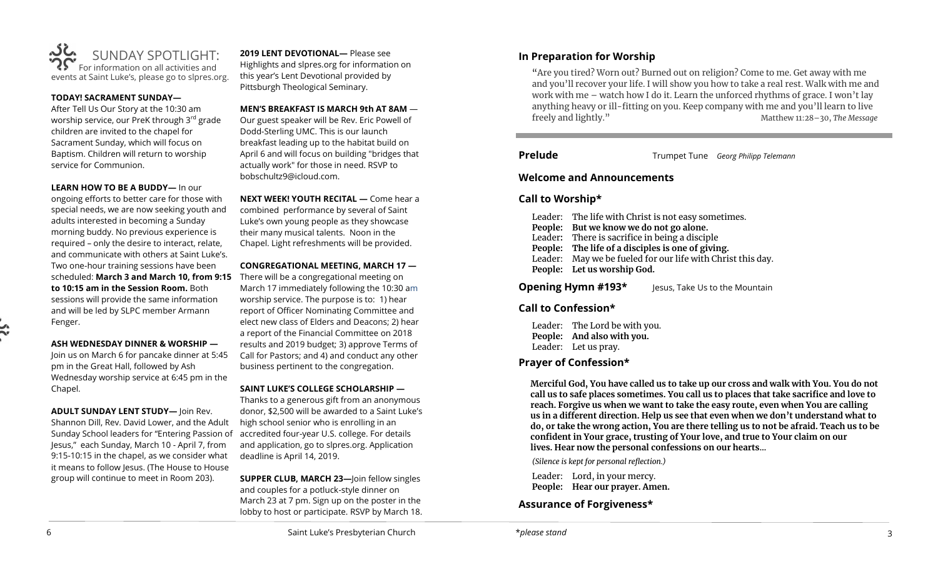

#### **TODAY! SACRAMENT SUNDAY—**

After Tell Us Our Story at the 10:30 am worship service, our PreK through 3<sup>rd</sup> grade children are invited to the chapel for Sacrament Sunday, which will focus on Baptism. Children will return to worship service for Communion.

#### **LEARN HOW TO BE A BUDDY—** In our

ongoing efforts to better care for those with special needs, we are now seeking youth and adults interested in becoming a Sunday morning buddy. No previous experience is required – only the desire to interact, relate, and communicate with others at Saint Luke's. Two one-hour training sessions have been scheduled: **March 3 and March 10, from 9:15**  There will be a congregational meeting on **to 10:15 am in the Session Room.** Both sessions will provide the same information and will be led by SLPC member Armann Fenger.

## **ASH WEDNESDAY DINNER & WORSHIP —**

Join us on March 6 for pancake dinner at 5:45 pm in the Great Hall, followed by Ash Wednesday worship service at 6:45 pm in the Chapel.

**ADULT SUNDAY LENT STUDY—** Join Rev.

Shannon Dill, Rev. David Lower, and the Adult Sunday School leaders for "Entering Passion of Jesus," each Sunday, March 10 - April 7, from 9:15-10:15 in the chapel, as we consider what it means to follow Jesus. (The House to House group will continue to meet in Room 203).

**2019 LENT DEVOTIONAL—** Please see Highlights and slpres.org for information on this year's Lent Devotional provided by Pittsburgh Theological Seminary.

#### **MEN'S BREAKFAST IS MARCH 9th AT 8AM** —

Our guest speaker will be Rev. Eric Powell of Dodd-Sterling UMC. This is our launch breakfast leading up to the habitat build on April 6 and will focus on building "bridges that actually work" for those in need. RSVP to bobschultz9@icloud.com.

**NEXT WEEK! YOUTH RECITAL —** Come hear a combined performance by several of Saint Luke's own young people as they showcase their many musical talents. Noon in the Chapel. Light refreshments will be provided.

#### **CONGREGATIONAL MEETING, MARCH 17 —**

March 17 immediately following the 10:30 am worship service. The purpose is to: 1) hear report of Officer Nominating Committee and elect new class of Elders and Deacons; 2) hear a report of the Financial Committee on 2018 results and 2019 budget; 3) approve Terms of Call for Pastors; and 4) and conduct any other business pertinent to the congregation.

## **SAINT LUKE'S COLLEGE SCHOLARSHIP —**

Thanks to a generous gift from an anonymous donor, \$2,500 will be awarded to a Saint Luke's high school senior who is enrolling in an accredited four-year U.S. college. For details and application, go to slpres.org. Application deadline is April 14, 2019.

**SUPPER CLUB, MARCH 23—**Join fellow singles and couples for a potluck-style dinner on March 23 at 7 pm. Sign up on the poster in the lobby to host or participate. RSVP by March 18.

# **In Preparation for Worship**

"Are you tired? Worn out? Burned out on religion? Come to me. Get away with me and you'll recover your life. I will show you how to take a real rest. Walk with me and work with me – watch how I do it. Learn the unforced rhythms of grace. I won't lay anything heavy or ill-fitting on you. Keep company with me and you'll learn to live freely and lightly." Matthew 11:28–30, *The Message*

**Prelude** Trumpet Tune *Georg Philipp Telemann* 

י

## **Welcome and Announcements**

# **Call to Worship\***

- Leader: The life with Christ is not easy sometimes.
- **People: But we know we do not go alone.**
- Leader**:** There is sacrifice in being a disciple
- **People: The life of a disciples is one of giving.**
- Leader: May we be fueled for our life with Christ this day.
- **People: Let us worship God.**

**Opening Hymn #193\*** Jesus, Take Us to the Mountain

# **Call to Confession\***

Leader: The Lord be with you. **People: And also with you.**  Leader: Let us pray.

# **Prayer of Confession\***

**Merciful God, You have called us to take up our cross and walk with You. You do not call us to safe places sometimes. You call us to places that take sacrifice and love to reach. Forgive us when we want to take the easy route, even when You are calling us in a different direction. Help us see that even when we don't understand what to do, or take the wrong action, You are there telling us to not be afraid. Teach us to be confident in Your grace, trusting of Your love, and true to Your claim on our lives. Hear now the personal confessions on our hearts…**

*(Silence is kept for personal reflection.)*

Leader: Lord, in your mercy. **People: Hear our prayer. Amen.**

# **Assurance of Forgiveness\***